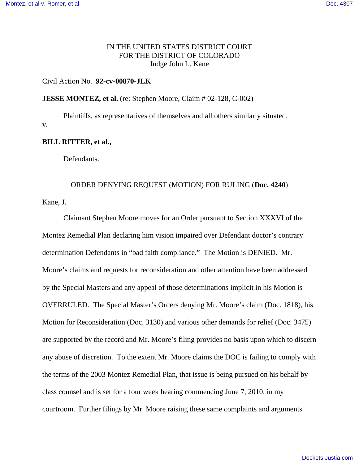# IN THE UNITED STATES DISTRICT COURT FOR THE DISTRICT OF COLORADO Judge John L. Kane

## Civil Action No. **92-cv-00870-JLK**

#### **JESSE MONTEZ, et al.** (re: Stephen Moore, Claim # 02-128, C-002)

Plaintiffs, as representatives of themselves and all others similarly situated, v.

## **BILL RITTER, et al.,**

Defendants.

# ORDER DENYING REQUEST (MOTION) FOR RULING (**Doc. 4240**)

Kane, J.

Claimant Stephen Moore moves for an Order pursuant to Section XXXVI of the Montez Remedial Plan declaring him vision impaired over Defendant doctor's contrary determination Defendants in "bad faith compliance." The Motion is DENIED. Mr. Moore's claims and requests for reconsideration and other attention have been addressed by the Special Masters and any appeal of those determinations implicit in his Motion is OVERRULED. The Special Master's Orders denying Mr. Moore's claim (Doc. 1818), his Motion for Reconsideration (Doc. 3130) and various other demands for relief (Doc. 3475) are supported by the record and Mr. Moore's filing provides no basis upon which to discern any abuse of discretion. To the extent Mr. Moore claims the DOC is failing to comply with the terms of the 2003 Montez Remedial Plan, that issue is being pursued on his behalf by class counsel and is set for a four week hearing commencing June 7, 2010, in my courtroom. Further filings by Mr. Moore raising these same complaints and arguments